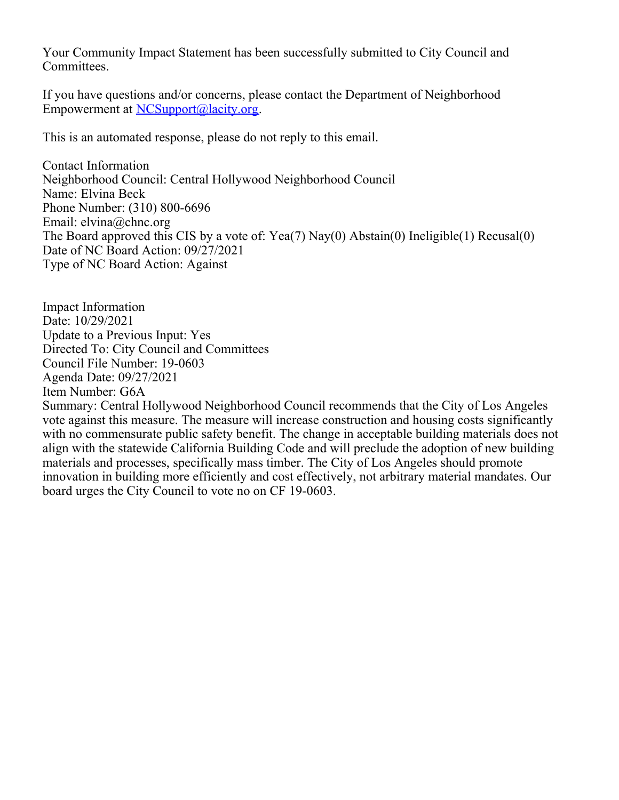Your Community Impact Statement has been successfully submitted to City Council and Committees.

If you have questions and/or concerns, please contact the Department of Neighborhood Empowerment at [NCSupport@lacity.org](mailto:NCSupport@lacity.org).

This is an automated response, please do not reply to this email.

Contact Information Neighborhood Council: Central Hollywood Neighborhood Council Name: Elvina Beck Phone Number: (310) 800-6696 Email: elvina@chnc.org The Board approved this CIS by a vote of: Yea(7) Nay(0) Abstain(0) Ineligible(1) Recusal(0) Date of NC Board Action: 09/27/2021 Type of NC Board Action: Against

Impact Information Date: 10/29/2021 Update to a Previous Input: Yes Directed To: City Council and Committees Council File Number: 19-0603 Agenda Date: 09/27/2021 Item Number: G6A Summary: Central Hollywood Neighborhood Council recommends that the City of Los Angeles vote against this measure. The measure will increase construction and housing costs significantly with no commensurate public safety benefit. The change in acceptable building materials does not align with the statewide California Building Code and will preclude the adoption of new building materials and processes, specifically mass timber. The City of Los Angeles should promote innovation in building more efficiently and cost effectively, not arbitrary material mandates. Our board urges the City Council to vote no on CF 19-0603.